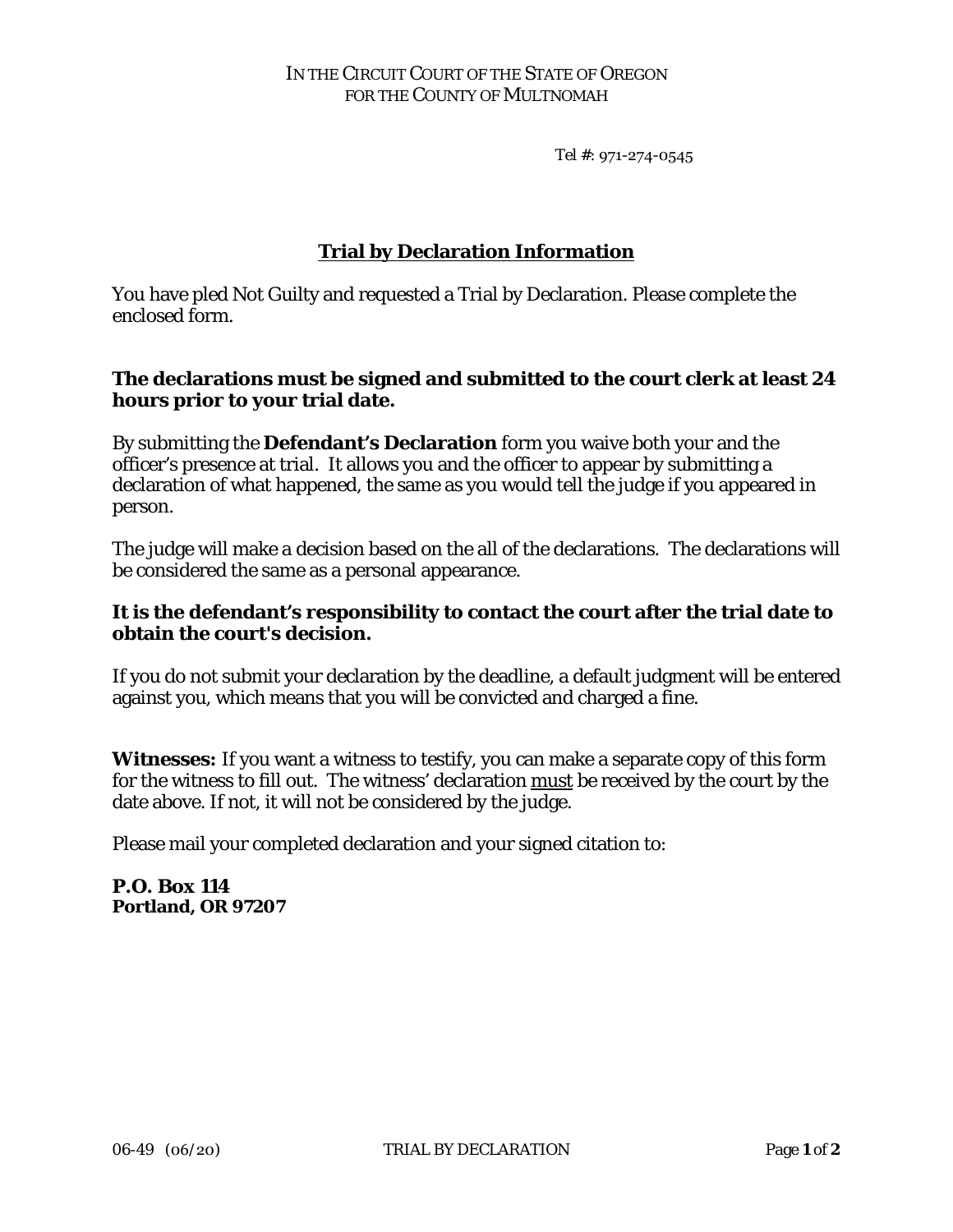Tel #: 971-274-0545

# **Trial by Declaration Information**

You have pled Not Guilty and requested a Trial by Declaration. Please complete the enclosed form.

## **The declarations must be signed and submitted to the court clerk at least 24 hours prior to your trial date.**

By submitting the **Defendant's Declaration** form you waive both your and the officer's presence at trial. It allows you and the officer to appear by submitting a declaration of what happened, the same as you would tell the judge if you appeared in person.

The judge will make a decision based on the all of the declarations. The declarations will be considered the same as a personal appearance.

## **It is the defendant's responsibility to contact the court after the trial date to obtain the court's decision.**

If you do not submit your declaration by the deadline, a default judgment will be entered against you, which means that you will be convicted and charged a fine.

**Witnesses:** If you want a witness to testify, you can make a separate copy of this form for the witness to fill out. The witness' declaration must be received by the court by the date above. If not, it will not be considered by the judge.

Please mail your completed declaration and your signed citation to:

## **P.O. Box 114 Portland, OR 97207**